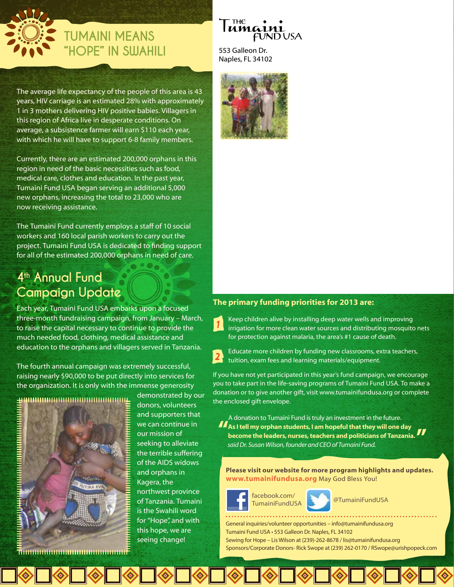

# **TUMAINI MEANS "HOPE" IN SUJAHILI** 553 Galleon Dr.

The average life expectancy of the people of this area is 43 years, HIV carriage is an estimated 28% with approximately 1 in 3 mothers delivering HIV positive babies. Villagers in this region of Africa live in desperate conditions. On average, a subsistence farmer will earn \$110 each year, with which he will have to support 6-8 family members.

Currently, there are an estimated 200,000 orphans in this region in need of the basic necessities such as food, medical care, clothes and education. In the past year, Tumaini Fund USA began serving an additional 5,000 new orphans, increasing the total to 23,000 who are now receiving assistance.

The Tumaini Fund currently employs a staff of 10 social workers and 160 local parish workers to carry out the project. Tumaini Fund USA is dedicated to finding support for all of the estimated 200,000 orphans in need of care.

# **4th Annual Fund Campaign Update**

Each year, Tumaini Fund USA embarks upon a focused three-month fundraising campaign, from January – March, to raise the capital necessary to continue to provide the much needed food, clothing, medical assistance and education to the orphans and villagers served in Tanzania.

The fourth annual campaign was extremely successful, raising nearly \$90,000 to be put directly into services for the organization. It is only with the immense generosity



demonstrated by our donors, volunteers and supporters that we can continue in our mission of seeking to alleviate the terrible suffering of the AIDS widows and orphans in Kagera, the northwest province of Tanzania. Tumaini is the Swahili word for "Hope", and with this hope, we are seeing change!

#### тнє **UMG1** FUNDUSA

Naples, FL 34102



#### **The primary funding priorities for 2013 are:**

Keep children alive by installing deep water wells and improving irrigation for more clean water sources and distributing mosquito nets for protection against malaria, the area's #1 cause of death.

Educate more children by funding new classrooms, extra teachers, tuition, exam fees and learning materials/equipment.

If you have not yet participated in this year's fund campaign, we encourage you to take part in the life-saving programs of Tumaini Fund USA. To make a donation or to give another gift, visit www.tumainifundusa.org or complete the enclosed gift envelope.

A donation to Tumaini Fund is truly an investment in the future. *said Dr. Susan Wilson, founder and CEO of Tumaini Fund.* **As I tell my orphan students, I am hopeful that they will one day become the leaders, nurses, teachers and politicians of Tanzania.**

**Please visit our website for more program highlights and updates. www.tumainifundusa.org** May God Bless You!



TumainiFundUSA **@TumainiFundUSA** 

General inquiries/volunteer opportunities – info@tumainifundusa.org Tumaini Fund USA • 553 Galleon Dr. Naples, FL 34102 Sewing for Hope – Lis Wilson at (239)-262-8678 / lis@tumainifundusa.org Sponsors/Corporate Donors- Rick Swope at (239) 262-0170 / RSwope@urishpopeck.com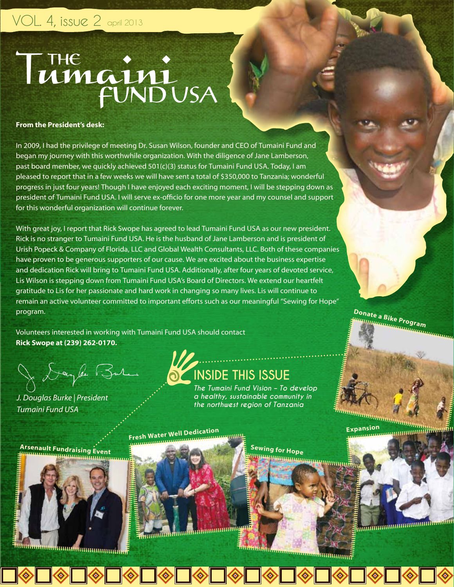# VOL. 4, issue 2 april 2013

# THE :

#### **From the President's desk:**

In 2009, I had the privilege of meeting Dr. Susan Wilson, founder and CEO of Tumaini Fund and began my journey with this worthwhile organization. With the diligence of Jane Lamberson, past board member, we quickly achieved 501(c)(3) status for Tumaini Fund USA. Today, I am pleased to report that in a few weeks we will have sent a total of \$350,000 to Tanzania; wonderful progress in just four years! Though I have enjoyed each exciting moment, I will be stepping down as president of Tumaini Fund USA. I will serve ex-officio for one more year and my counsel and support for this wonderful organization will continue forever.

With great joy, I report that Rick Swope has agreed to lead Tumaini Fund USA as our new president. Rick is no stranger to Tumaini Fund USA. He is the husband of Jane Lamberson and is president of Urish Popeck & Company of Florida, LLC and Global Wealth Consultants, LLC. Both of these companies have proven to be generous supporters of our cause. We are excited about the business expertise and dedication Rick will bring to Tumaini Fund USA. Additionally, after four years of devoted service, Lis Wilson is stepping down from Tumaini Fund USA's Board of Directors. We extend our heartfelt gratitude to Lis for her passionate and hard work in changing so many lives. Lis will continue to remain an active volunteer committed to important efforts such as our meaningful "Sewing for Hope" program.

Volunteers interested in working with Tumaini Fund USA should contact **Rick Swope at (239) 262-0170.**

Joyle Bure

*J. Douglas Burke | President Tumaini Fund USA*

# **INSIDE THIS ISSUE**

*The Tumaini Fund Vision – To develop a healthy, sustainable community in the northwest region of Tanzania*

**Fresh Water Well Dedication**

............

**SEARCH** 

uunnuunnuunnuung

 $\langle \diamond \rangle$ 

**Sewing for Hope**

**Expansion**

**Donate a Bike Program**

**Arsenault Fundraising Event**



-<br>huunimminimminimminimminim

 $\Box \otimes \Box \otimes \Box \otimes$ 

nning an Amhainning a

 $\langle \diamond \rangle$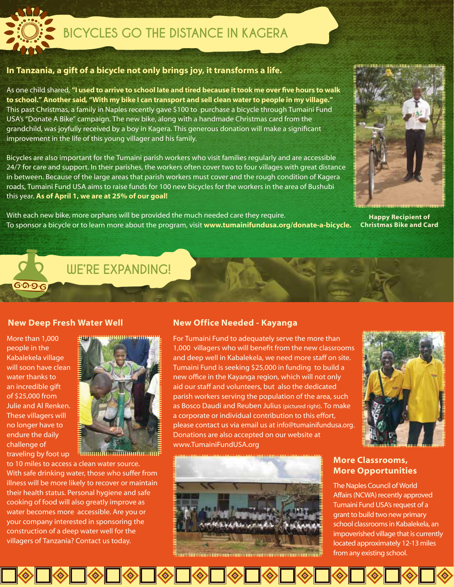

# **BICYCLES GO THE DISTANCE IN KAGERA**

## **In Tanzania, a gift of a bicycle not only brings joy, it transforms a life.**

As one child shared, **"I used to arrive to school late and tired because it took me over five hours to walk to school." Another said, "With my bike I can transport and sell clean water to people in my village."** This past Christmas, a family in Naples recently gave \$100 to purchase a bicycle through Tumaini Fund USA's "Donate A Bike" campaign. The new bike, along with a handmade Christmas card from the grandchild, was joyfully received by a boy in Kagera. This generous donation will make a significant improvement in the life of this young villager and his family.

Bicycles are also important for the Tumaini parish workers who visit families regularly and are accessible 24/7 for care and support. In their parishes, the workers often cover two to four villages with great distance in between. Because of the large areas that parish workers must cover and the rough condition of Kagera roads, Tumaini Fund USA aims to raise funds for 100 new bicycles for the workers in the area of Bushubi this year. **As of April 1, we are at 25% of our goal!** 

With each new bike, more orphans will be provided the much needed care they require. To sponsor a bicycle or to learn more about the program, visit **www.tumainifundusa.org/donate-a-bicycle.** 



**Happy Recipient of Christmas Bike and Card**

**WE'RE EXPANDING!**

#### **New Deep Fresh Water Well New Office Needed - Kayanga**

More than 1,000 people in the Kabalekela village will soon have clean water thanks to an incredible gift of \$25,000 from Julie and Al Renken. These villagers will no longer have to endure the daily challenge of

**G**.D.G.G

traveling by foot up

to 10 miles to access a clean water source. With safe drinking water, those who suffer from illness will be more likely to recover or maintain their health status. Personal hygiene and safe cooking of food will also greatly improve as water becomes more accessible. Are you or your company interested in sponsoring the construction of a deep water well for the villagers of Tanzania? Contact us today.



Emmmmmmmmmmm

█**◈█◈█◈█◈█◈█◈█◈█◈█◈** 

For Tumaini Fund to adequately serve the more than 1,000 villagers who will benefit from the new classrooms and deep well in Kabalekela, we need more staff on site. Tumaini Fund is seeking \$25,000 in funding to build a new office in the Kayanga region, which will not only aid our staff and volunteers, but also the dedicated parish workers serving the population of the area, such as Bosco Daudi and Reuben Julius (pictured right). To make a corporate or individual contribution to this effort, please contact us via email us at info@tumainifundusa.org. Donations are also accepted on our website at www.TumainiFundUSA.org



**More Classrooms, More Opportunities**

The Naples Council of World Affairs (NCWA) recently approved Tumaini Fund USA's request of a grant to build two new primary school classrooms in Kabalekela, an impoverished village that is currently located approximately 12-13 miles from any existing school.

 $\Diamond$   $\Diamond$   $\Diamond$